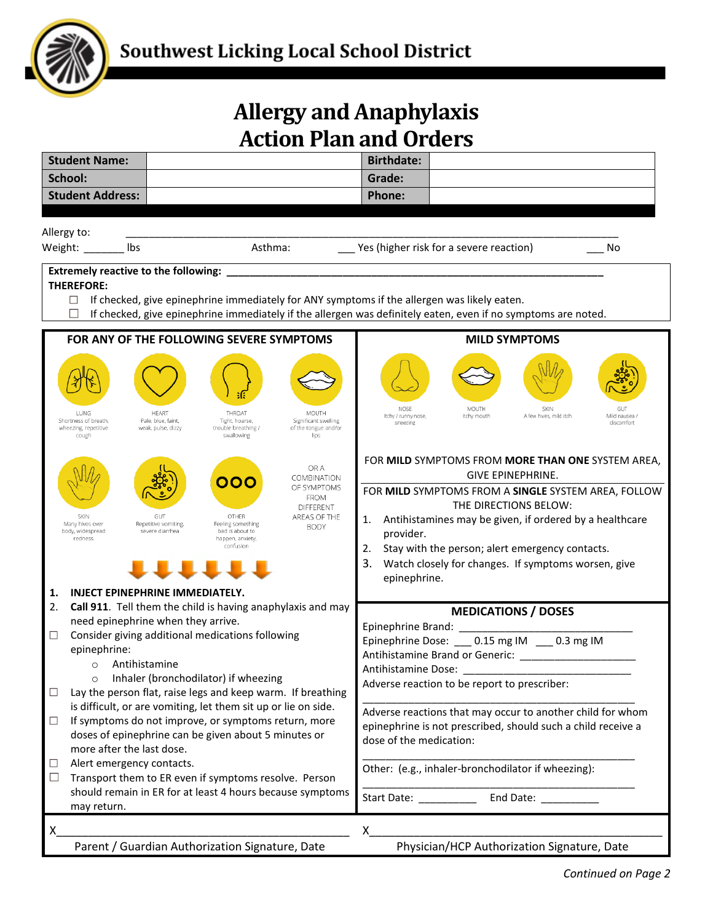

## **Allergy and Anaphylaxis Action Plan and Orders**

| <b>Student Name:</b>                                                                                                                                |                                                                                                                                                                                                                                                                                                                                                                                                                                     |                               | <b>Birthdate:</b>                                                                                                                                     |                                                                                                                                                                                                                                                                                                                                                                                   |                                |                                           |  |  |
|-----------------------------------------------------------------------------------------------------------------------------------------------------|-------------------------------------------------------------------------------------------------------------------------------------------------------------------------------------------------------------------------------------------------------------------------------------------------------------------------------------------------------------------------------------------------------------------------------------|-------------------------------|-------------------------------------------------------------------------------------------------------------------------------------------------------|-----------------------------------------------------------------------------------------------------------------------------------------------------------------------------------------------------------------------------------------------------------------------------------------------------------------------------------------------------------------------------------|--------------------------------|-------------------------------------------|--|--|
| School:                                                                                                                                             |                                                                                                                                                                                                                                                                                                                                                                                                                                     |                               | Grade:                                                                                                                                                |                                                                                                                                                                                                                                                                                                                                                                                   |                                |                                           |  |  |
| <b>Student Address:</b>                                                                                                                             |                                                                                                                                                                                                                                                                                                                                                                                                                                     |                               | <b>Phone:</b>                                                                                                                                         |                                                                                                                                                                                                                                                                                                                                                                                   |                                |                                           |  |  |
|                                                                                                                                                     |                                                                                                                                                                                                                                                                                                                                                                                                                                     |                               |                                                                                                                                                       |                                                                                                                                                                                                                                                                                                                                                                                   |                                |                                           |  |  |
| Allergy to:                                                                                                                                         |                                                                                                                                                                                                                                                                                                                                                                                                                                     |                               |                                                                                                                                                       |                                                                                                                                                                                                                                                                                                                                                                                   |                                |                                           |  |  |
| Weight: _________ lbs                                                                                                                               | Asthma:                                                                                                                                                                                                                                                                                                                                                                                                                             |                               |                                                                                                                                                       | Yes (higher risk for a severe reaction)                                                                                                                                                                                                                                                                                                                                           |                                | No                                        |  |  |
| <b>Extremely reactive to the following:</b>                                                                                                         |                                                                                                                                                                                                                                                                                                                                                                                                                                     |                               |                                                                                                                                                       |                                                                                                                                                                                                                                                                                                                                                                                   |                                |                                           |  |  |
| <b>THEREFORE:</b>                                                                                                                                   |                                                                                                                                                                                                                                                                                                                                                                                                                                     |                               |                                                                                                                                                       |                                                                                                                                                                                                                                                                                                                                                                                   |                                |                                           |  |  |
| $\Box$<br>If checked, give epinephrine immediately for ANY symptoms if the allergen was likely eaten.                                               |                                                                                                                                                                                                                                                                                                                                                                                                                                     |                               |                                                                                                                                                       |                                                                                                                                                                                                                                                                                                                                                                                   |                                |                                           |  |  |
| If checked, give epinephrine immediately if the allergen was definitely eaten, even if no symptoms are noted.<br>$\Box$                             |                                                                                                                                                                                                                                                                                                                                                                                                                                     |                               |                                                                                                                                                       |                                                                                                                                                                                                                                                                                                                                                                                   |                                |                                           |  |  |
| FOR ANY OF THE FOLLOWING SEVERE SYMPTOMS                                                                                                            |                                                                                                                                                                                                                                                                                                                                                                                                                                     |                               | <b>MILD SYMPTOMS</b>                                                                                                                                  |                                                                                                                                                                                                                                                                                                                                                                                   |                                |                                           |  |  |
| <b>I UNG</b><br>Shortness of breath,                                                                                                                | <b>HFART</b><br>THROAT                                                                                                                                                                                                                                                                                                                                                                                                              | MOUTH<br>Significant swelling | NOSE<br>Itchy / runny nose,<br>sneezing                                                                                                               | MOUTH<br>Itchy mouth                                                                                                                                                                                                                                                                                                                                                              | SKIN<br>A few hives, mild itch | <b>GUT</b><br>Mild nausea /<br>discomfort |  |  |
| wheezing, repetitive<br>cough<br><b>SKIN</b><br>Many hives over<br>body, widespread<br>redness<br>1.                                                | Pale, blue, faint,<br>Tight, hoarse,<br>weak, pulse, dizzy<br>of the tongue and/or<br>trouble breathing /<br>swallowing<br>lips<br>OR A<br><b>COMBINATION</b><br>OOO<br>OF SYMPTOMS<br><b>FROM</b><br><b>DIFFERENT</b><br>AREAS OF THE<br>GUT<br>OTHER<br>Repetitive vomiting,<br>Feeling something<br><b>BODY</b><br>severe diarrhea<br>bad is about to<br>happen, anxiety,<br>confusion<br><b>INJECT EPINEPHRINE IMMEDIATELY.</b> |                               |                                                                                                                                                       | FOR MILD SYMPTOMS FROM MORE THAN ONE SYSTEM AREA,<br><b>GIVE EPINEPHRINE.</b><br>FOR MILD SYMPTOMS FROM A SINGLE SYSTEM AREA, FOLLOW<br>THE DIRECTIONS BELOW:<br>Antihistamines may be given, if ordered by a healthcare<br>1.<br>provider.<br>2.<br>Stay with the person; alert emergency contacts.<br>3.<br>Watch closely for changes. If symptoms worsen, give<br>epinephrine. |                                |                                           |  |  |
| 2.                                                                                                                                                  | Call 911. Tell them the child is having anaphylaxis and may                                                                                                                                                                                                                                                                                                                                                                         |                               | <b>MEDICATIONS / DOSES</b>                                                                                                                            |                                                                                                                                                                                                                                                                                                                                                                                   |                                |                                           |  |  |
| need epinephrine when they arrive.<br>Consider giving additional medications following<br>$\Box$                                                    |                                                                                                                                                                                                                                                                                                                                                                                                                                     |                               |                                                                                                                                                       |                                                                                                                                                                                                                                                                                                                                                                                   |                                |                                           |  |  |
| epinephrine:                                                                                                                                        |                                                                                                                                                                                                                                                                                                                                                                                                                                     |                               | Epinephrine Dose: 0.15 mg IM 0.3 mg IM<br>Antihistamine Brand or Generic: ________________________                                                    |                                                                                                                                                                                                                                                                                                                                                                                   |                                |                                           |  |  |
| Antihistamine<br>$\circ$                                                                                                                            |                                                                                                                                                                                                                                                                                                                                                                                                                                     |                               | Antihistamine Dose:                                                                                                                                   |                                                                                                                                                                                                                                                                                                                                                                                   |                                |                                           |  |  |
| Inhaler (bronchodilator) if wheezing<br>$\circ$<br>Lay the person flat, raise legs and keep warm. If breathing<br>□                                 |                                                                                                                                                                                                                                                                                                                                                                                                                                     |                               | Adverse reaction to be report to prescriber:                                                                                                          |                                                                                                                                                                                                                                                                                                                                                                                   |                                |                                           |  |  |
| is difficult, or are vomiting, let them sit up or lie on side.                                                                                      |                                                                                                                                                                                                                                                                                                                                                                                                                                     |                               |                                                                                                                                                       |                                                                                                                                                                                                                                                                                                                                                                                   |                                |                                           |  |  |
| If symptoms do not improve, or symptoms return, more<br>$\Box$<br>doses of epinephrine can be given about 5 minutes or<br>more after the last dose. |                                                                                                                                                                                                                                                                                                                                                                                                                                     |                               | Adverse reactions that may occur to another child for whom<br>epinephrine is not prescribed, should such a child receive a<br>dose of the medication: |                                                                                                                                                                                                                                                                                                                                                                                   |                                |                                           |  |  |
| Alert emergency contacts.<br>⊔                                                                                                                      |                                                                                                                                                                                                                                                                                                                                                                                                                                     |                               | Other: (e.g., inhaler-bronchodilator if wheezing):                                                                                                    |                                                                                                                                                                                                                                                                                                                                                                                   |                                |                                           |  |  |
| Transport them to ER even if symptoms resolve. Person<br>$\Box$<br>should remain in ER for at least 4 hours because symptoms                        |                                                                                                                                                                                                                                                                                                                                                                                                                                     |                               | Start Date: _____________ End Date: ___________                                                                                                       |                                                                                                                                                                                                                                                                                                                                                                                   |                                |                                           |  |  |
| may return.                                                                                                                                         |                                                                                                                                                                                                                                                                                                                                                                                                                                     |                               |                                                                                                                                                       |                                                                                                                                                                                                                                                                                                                                                                                   |                                |                                           |  |  |
| X                                                                                                                                                   |                                                                                                                                                                                                                                                                                                                                                                                                                                     |                               | Χ                                                                                                                                                     |                                                                                                                                                                                                                                                                                                                                                                                   |                                |                                           |  |  |
| Parent / Guardian Authorization Signature, Date<br>Physician/HCP Authorization Signature, Date                                                      |                                                                                                                                                                                                                                                                                                                                                                                                                                     |                               |                                                                                                                                                       |                                                                                                                                                                                                                                                                                                                                                                                   |                                |                                           |  |  |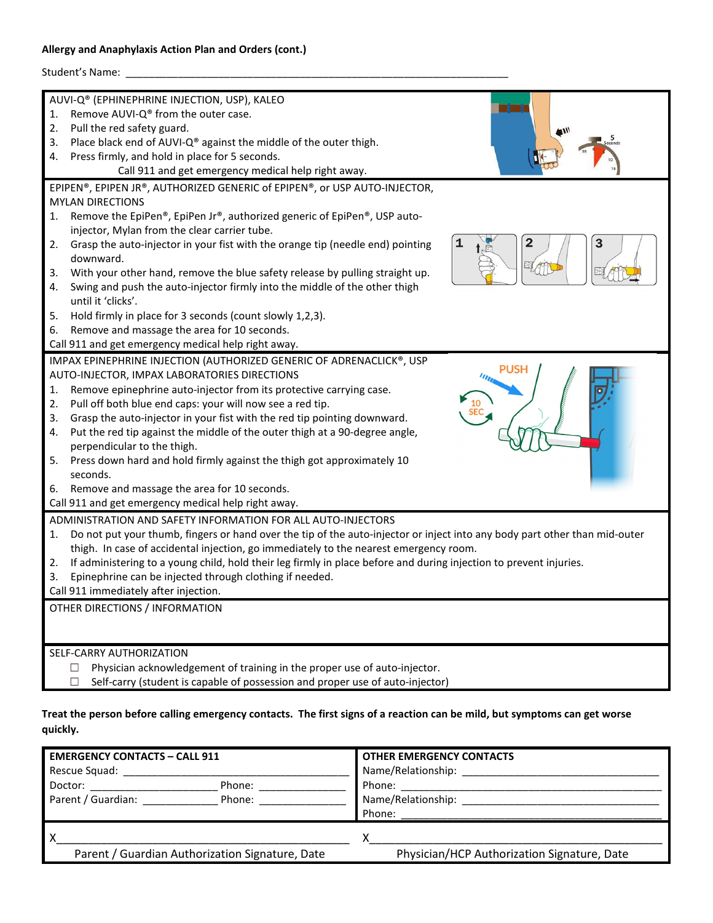## **Allergy and Anaphylaxis Action Plan and Orders (cont.)**

| Student's Name: _                                                                                                                                                                                                                                                                                                                                                                                                                                                                                                                                                                                                                                                                          |  |  |  |  |  |
|--------------------------------------------------------------------------------------------------------------------------------------------------------------------------------------------------------------------------------------------------------------------------------------------------------------------------------------------------------------------------------------------------------------------------------------------------------------------------------------------------------------------------------------------------------------------------------------------------------------------------------------------------------------------------------------------|--|--|--|--|--|
| AUVI-Q® (EPHINEPHRINE INJECTION, USP), KALEO<br>Remove AUVI-Q® from the outer case.<br>1.<br>Pull the red safety guard.<br>2.<br>Place black end of AUVI-Q® against the middle of the outer thigh.<br>3.<br>Press firmly, and hold in place for 5 seconds.<br>4.                                                                                                                                                                                                                                                                                                                                                                                                                           |  |  |  |  |  |
| Call 911 and get emergency medical help right away.                                                                                                                                                                                                                                                                                                                                                                                                                                                                                                                                                                                                                                        |  |  |  |  |  |
| EPIPEN®, EPIPEN JR®, AUTHORIZED GENERIC of EPIPEN®, or USP AUTO-INJECTOR,                                                                                                                                                                                                                                                                                                                                                                                                                                                                                                                                                                                                                  |  |  |  |  |  |
| <b>MYLAN DIRECTIONS</b><br>Remove the EpiPen®, EpiPen Jr®, authorized generic of EpiPen®, USP auto-<br>1.<br>injector, Mylan from the clear carrier tube.                                                                                                                                                                                                                                                                                                                                                                                                                                                                                                                                  |  |  |  |  |  |
| З<br>Grasp the auto-injector in your fist with the orange tip (needle end) pointing<br>2.<br>downward.<br>With your other hand, remove the blue safety release by pulling straight up.<br>3.                                                                                                                                                                                                                                                                                                                                                                                                                                                                                               |  |  |  |  |  |
| Swing and push the auto-injector firmly into the middle of the other thigh<br>4.<br>until it 'clicks'.                                                                                                                                                                                                                                                                                                                                                                                                                                                                                                                                                                                     |  |  |  |  |  |
| Hold firmly in place for 3 seconds (count slowly 1,2,3).<br>5.                                                                                                                                                                                                                                                                                                                                                                                                                                                                                                                                                                                                                             |  |  |  |  |  |
| Remove and massage the area for 10 seconds.<br>6.<br>Call 911 and get emergency medical help right away.                                                                                                                                                                                                                                                                                                                                                                                                                                                                                                                                                                                   |  |  |  |  |  |
| IMPAX EPINEPHRINE INJECTION (AUTHORIZED GENERIC OF ADRENACLICK®, USP<br>PUSH<br>AUTO-INJECTOR, IMPAX LABORATORIES DIRECTIONS<br>Remove epinephrine auto-injector from its protective carrying case.<br>1.<br>Pull off both blue end caps: your will now see a red tip.<br>2.<br>Grasp the auto-injector in your fist with the red tip pointing downward.<br>3.<br>Put the red tip against the middle of the outer thigh at a 90-degree angle,<br>4.<br>perpendicular to the thigh.<br>Press down hard and hold firmly against the thigh got approximately 10<br>5.<br>seconds.<br>Remove and massage the area for 10 seconds.<br>6.<br>Call 911 and get emergency medical help right away. |  |  |  |  |  |
| ADMINISTRATION AND SAFETY INFORMATION FOR ALL AUTO-INJECTORS<br>Do not put your thumb, fingers or hand over the tip of the auto-injector or inject into any body part other than mid-outer<br>1.<br>thigh. In case of accidental injection, go immediately to the nearest emergency room.<br>If administering to a young child, hold their leg firmly in place before and during injection to prevent injuries.<br>2.<br>Epinephrine can be injected through clothing if needed.<br>3.<br>Call 911 immediately after injection.                                                                                                                                                            |  |  |  |  |  |
| OTHER DIRECTIONS / INFORMATION                                                                                                                                                                                                                                                                                                                                                                                                                                                                                                                                                                                                                                                             |  |  |  |  |  |
| SELF-CARRY AUTHORIZATION<br>Physician acknowledgement of training in the proper use of auto-injector.<br>□<br>Self-carry (student is capable of possession and proper use of auto-injector)<br>□                                                                                                                                                                                                                                                                                                                                                                                                                                                                                           |  |  |  |  |  |

## **Treat the person before calling emergency contacts. The first signs of a reaction can be mild, but symptoms can get worse quickly.**

| <b>EMERGENCY CONTACTS - CALL 911</b>                                                                                                                                                                                                                                                                                                                                                                                   | <b>OTHER EMERGENCY CONTACTS</b>             |  |  |  |
|------------------------------------------------------------------------------------------------------------------------------------------------------------------------------------------------------------------------------------------------------------------------------------------------------------------------------------------------------------------------------------------------------------------------|---------------------------------------------|--|--|--|
| Rescue Squad: Nescue Squad:                                                                                                                                                                                                                                                                                                                                                                                            | Name/Relationship: _____________            |  |  |  |
| Doctor: $\frac{1}{\sqrt{1-\frac{1}{2}}\sqrt{1-\frac{1}{2}}\sqrt{1-\frac{1}{2}}\sqrt{1-\frac{1}{2}}\sqrt{1-\frac{1}{2}}\sqrt{1-\frac{1}{2}}\sqrt{1-\frac{1}{2}}\sqrt{1-\frac{1}{2}}\sqrt{1-\frac{1}{2}}\sqrt{1-\frac{1}{2}}\sqrt{1-\frac{1}{2}}\sqrt{1-\frac{1}{2}}\sqrt{1-\frac{1}{2}}\sqrt{1-\frac{1}{2}}\sqrt{1-\frac{1}{2}}\sqrt{1-\frac{1}{2}}\sqrt{1-\frac{1}{2}}\sqrt{1-\frac{1}{2}}\sqrt{1-\frac{1}{$<br>Phone: | A Phone: ______________________             |  |  |  |
| Parent / Guardian:<br>Phone:                                                                                                                                                                                                                                                                                                                                                                                           | Name/Relationship: ____________             |  |  |  |
|                                                                                                                                                                                                                                                                                                                                                                                                                        | Phone:                                      |  |  |  |
|                                                                                                                                                                                                                                                                                                                                                                                                                        |                                             |  |  |  |
| Parent / Guardian Authorization Signature, Date                                                                                                                                                                                                                                                                                                                                                                        | Physician/HCP Authorization Signature, Date |  |  |  |